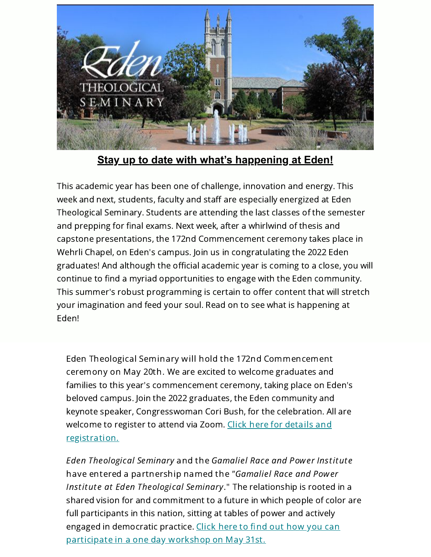

**Stay up to date with what's happening at Eden!**

This academic year has been one of challenge, innovation and energy. This week and next, students, faculty and staff are especially energized at Eden Theological Seminary. Students are attending the last classes of the semester and prepping for final exams. Next week, after a whirlwind of thesis and capstone presentations, the 172nd Commencement ceremony takes place in Wehrli Chapel, on Eden's campus. Join us in congratulating the 2022 Eden graduates! And although the official academic year is coming to a close, you will continue to find a myriad opportunities to engage with the Eden community. This summer's robust programming is certain to offer content that will stretch your imagination and feed your soul. Read on to see what is happening at Eden!

Eden Theological Seminary will hold the 172nd Commencement ceremony on May 20th. We are excited to welcome graduates and families to this year's commencement ceremony, taking place on Eden's beloved campus. Join the 2022 graduates, the Eden community and keynote speaker, Congresswoman Cori Bush, for the celebration. All are welcome to register to attend via Zoom. Click here for details and [registration.](https://www.eden.edu/events/edens-172nd-commencement/)

Eden Theological Seminary and the Gamaliel Race and Power Institute have entered a partnership named the "Gamaliel Race and Power Institute at Eden Theological Seminary." The relationship is rooted in a shared vision for and commitment to a future in which people of color are full participants in this nation, sitting at tables of power and actively engaged in democratic practice. Click here to find out how you can [participate](https://www.eden.edu/events/edens-summer-institutes/) in a one day workshop on May 31st.